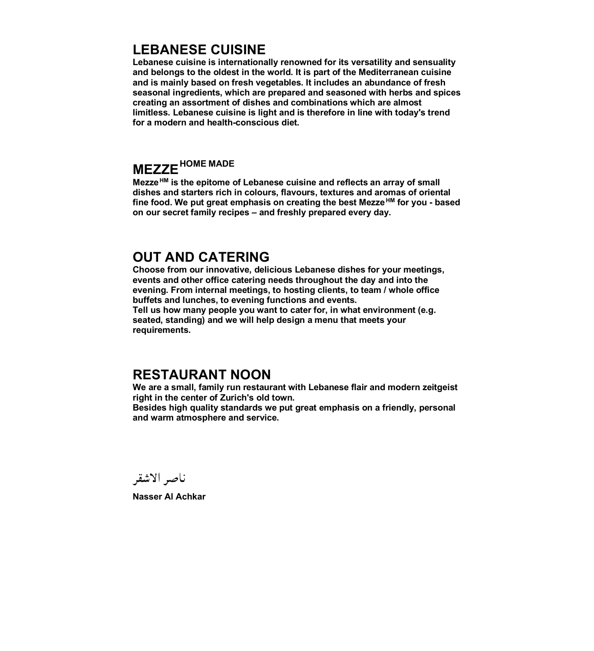### **LEBANESE CUISINE**

**Lebanese cuisine is internationally renowned for its versatility and sensuality and belongs to the oldest in the world. It is part of the Mediterranean cuisine and is mainly based on fresh vegetables. It includes an abundance of fresh seasonal ingredients, which are prepared and seasoned with herbs and spices creating an assortment of dishes and combinations which are almost limitless. Lebanese cuisine is light and is therefore in line with today's trend for a modern and health-conscious diet.** 

# **MEZZEHOME MADE**

**Mezze HM is the epitome of Lebanese cuisine and reflects an array of small dishes and starters rich in colours, flavours, textures and aromas of oriental fine food. We put great emphasis on creating the best Mezze HM for you - based on our secret family recipes – and freshly prepared every day.** 

### **OUT AND CATERING**

**Choose from our innovative, delicious Lebanese dishes for your meetings, events and other office catering needs throughout the day and into the evening. From internal meetings, to hosting clients, to team / whole office buffets and lunches, to evening functions and events.**

**Tell us how many people you want to cater for, in what environment (e.g. seated, standing) and we will help design a menu that meets your requirements.**

### **RESTAURANT NOON**

**We are a small, family run restaurant with Lebanese flair and modern zeitgeist right in the center of Zurich's old town.** 

**Besides high quality standards we put great emphasis on a friendly, personal and warm atmosphere and service.** 

ناصر الاشقر

**Nasser Al Achkar**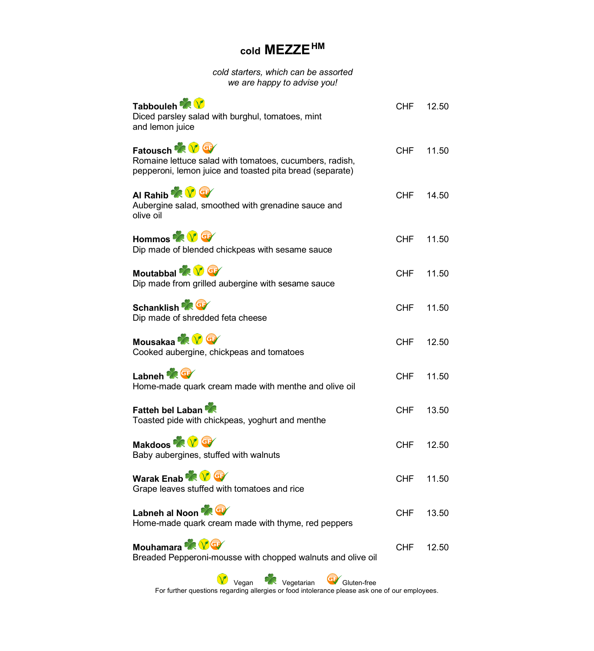## **cold MEZZEHM**

*cold starters, which can be assorted we are happy to advise you!*

| Tabbouleh <b>KV</b><br>Diced parsley salad with burghul, tomatoes, mint<br>and lemon juice                                                | CHF        | 12.50 |
|-------------------------------------------------------------------------------------------------------------------------------------------|------------|-------|
| Fatousch <b>XV</b><br>Romaine lettuce salad with tomatoes, cucumbers, radish,<br>pepperoni, lemon juice and toasted pita bread (separate) | <b>CHF</b> | 11.50 |
| Al Rahib <b>X</b> V G<br>Aubergine salad, smoothed with grenadine sauce and<br>olive oil                                                  | <b>CHF</b> | 14.50 |
| Hommos <b>XV</b><br>Dip made of blended chickpeas with sesame sauce                                                                       | CHF.       | 11.50 |
| Moutabbal <b>X</b> V G<br>Dip made from grilled aubergine with sesame sauce                                                               | CHF.       | 11.50 |
| Schanklish <b>A</b><br>Dip made of shredded feta cheese                                                                                   | CHF        | 11.50 |
| Mousakaa <b>XXX</b><br>Cooked aubergine, chickpeas and tomatoes                                                                           | CHF        | 12.50 |
| Labneh <b>AGE</b><br>Home-made quark cream made with menthe and olive oil                                                                 | CHF        | 11.50 |
| Fatteh bel Laban<br>Toasted pide with chickpeas, yoghurt and menthe                                                                       | CHF        | 13.50 |
| Makdoos <b>as V</b> G<br>Baby aubergines, stuffed with walnuts                                                                            | CHF        | 12.50 |
| Warak Enab <b>Y</b><br>Grape leaves stuffed with tomatoes and rice                                                                        | CHF        | 11.50 |
| Labneh al Noon<br>Home-made quark cream made with thyme, red peppers                                                                      | <b>CHF</b> | 13.50 |
| Mouhamara <b>X</b><br>Breaded Pepperoni-mousse with chopped walnuts and olive oil                                                         | <b>CHF</b> | 12.50 |
| $\sqrt{2}$ . $\sqrt{2}$ . $\sqrt{2}$ . $\sqrt{2}$                                                                                         |            |       |

**The Vegan Conference Conference Conference**<br>For further questions regarding allergies or food intolerance please ask one of our employees.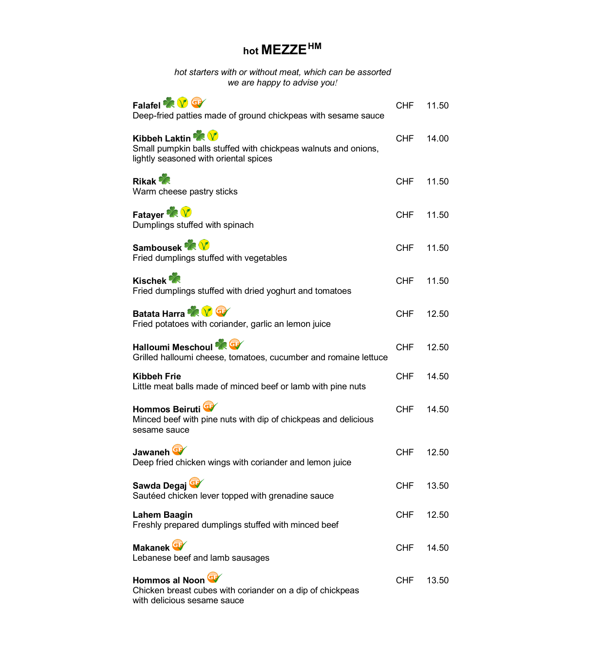# **hot MEZZEHM**

*hot starters with or without meat, which can be assorted we are happy to advise you!*

| Falafel <b>XV</b><br>Deep-fried patties made of ground chickpeas with sesame sauce                                                 | CHF        | 11.50 |
|------------------------------------------------------------------------------------------------------------------------------------|------------|-------|
| <b>Kibbeh Laktin XX</b><br>Small pumpkin balls stuffed with chickpeas walnuts and onions,<br>lightly seasoned with oriental spices | <b>CHF</b> | 14.00 |
| <b>Rikak</b><br>Warm cheese pastry sticks                                                                                          | <b>CHF</b> | 11.50 |
| Fatayer <b>R</b><br>Dumplings stuffed with spinach                                                                                 | <b>CHF</b> | 11.50 |
| Sambousek <b>XX</b><br>Fried dumplings stuffed with vegetables                                                                     | <b>CHF</b> | 11.50 |
| <b>Kischek</b><br>Fried dumplings stuffed with dried yoghurt and tomatoes                                                          | <b>CHF</b> | 11.50 |
| Batata Harra <b>X V</b><br>Fried potatoes with coriander, garlic an lemon juice                                                    | <b>CHF</b> | 12.50 |
| Halloumi Meschoul<br>Grilled halloumi cheese, tomatoes, cucumber and romaine lettuce                                               | CHF        | 12.50 |
| <b>Kibbeh Frie</b><br>Little meat balls made of minced beef or lamb with pine nuts                                                 | <b>CHF</b> | 14.50 |
| Hommos Beiruti<br>Minced beef with pine nuts with dip of chickpeas and delicious<br>sesame sauce                                   | <b>CHF</b> | 14.50 |
| Jawaneh <sup>Q</sup><br>Deep fried chicken wings with coriander and lemon juice                                                    | <b>CHF</b> | 12.50 |
| Sawda Degaj<br>Sautéed chicken lever topped with grenadine sauce                                                                   | <b>CHF</b> | 13.50 |
| Lahem Baagin<br>Freshly prepared dumplings stuffed with minced beef                                                                | CHF        | 12.50 |
| Makanek <sup>Cy</sup><br>Lebanese beef and lamb sausages                                                                           | CHF        | 14.50 |
| Hommos al Noon<br>Chicken breast cubes with coriander on a dip of chickpeas<br>with delicious sesame sauce                         | <b>CHF</b> | 13.50 |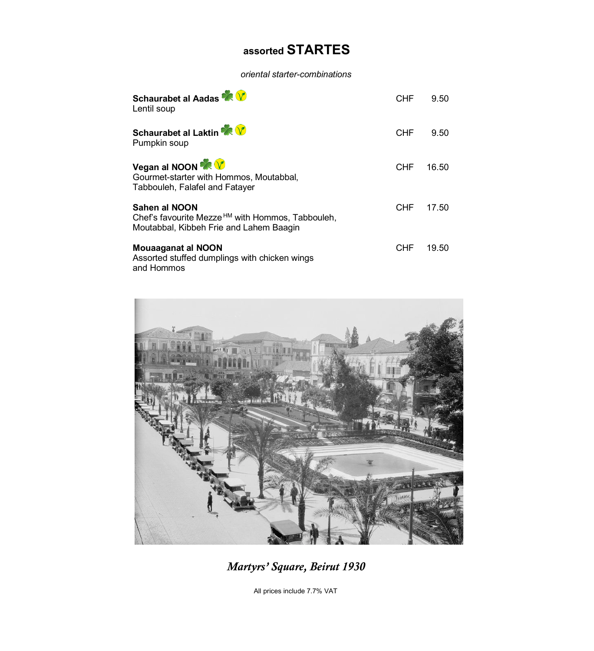# **assorted STARTES**

*oriental starter-combinations*

| Schaurabet al Aadas<br>Lentil soup                                                                                       | CHF        | 9.50  |
|--------------------------------------------------------------------------------------------------------------------------|------------|-------|
| <b>Schaurabet al Laktin XXV</b><br>Pumpkin soup                                                                          | <b>CHF</b> | 9.50  |
| Vegan al NOON X V<br>Gourmet-starter with Hommos, Moutabbal,<br>Tabbouleh, Falafel and Fatayer                           | CHF        | 16.50 |
| Sahen al NOON<br>Chef's favourite Mezze <sup>HM</sup> with Hommos, Tabbouleh,<br>Moutabbal, Kibbeh Frie and Lahem Baagin | CHF        | 17.50 |
| <b>Mouaaganat al NOON</b><br>Assorted stuffed dumplings with chicken wings<br>and Hommos                                 | CHF        | 19.50 |



*Martyrs' Square, Beirut 1930*

All prices include 7.7% VAT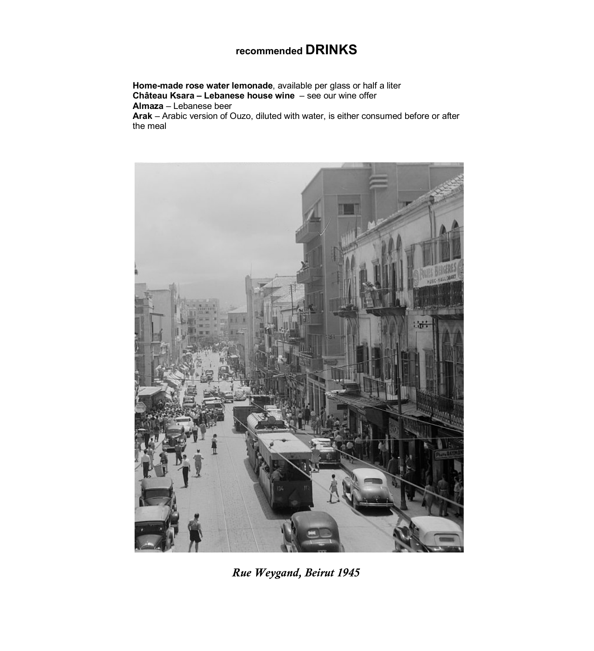### **recommended DRINKS**

**Home-made rose water lemonade**, available per glass or half a liter **Château Ksara – Lebanese house wine** – see our wine offer **Almaza** – Lebanese beer **Arak** – Arabic version of Ouzo, diluted with water, is either consumed before or after the meal



*Rue Weygand, Beirut 1945*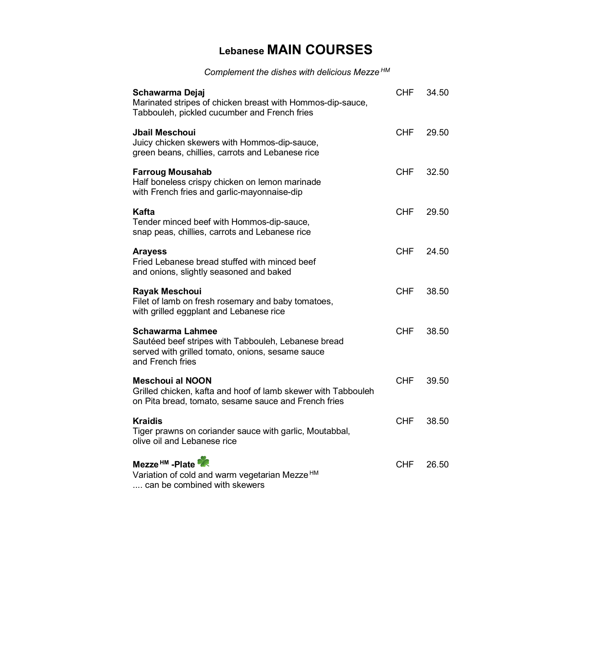## **Lebanese MAIN COURSES**

*Complement the dishes with delicious Mezze HM*

| Schawarma Dejaj<br>Marinated stripes of chicken breast with Hommos-dip-sauce,<br>Tabbouleh, pickled cucumber and French fries                    | <b>CHF</b> | 34.50 |
|--------------------------------------------------------------------------------------------------------------------------------------------------|------------|-------|
| <b>Jbail Meschoui</b><br>Juicy chicken skewers with Hommos-dip-sauce,<br>green beans, chillies, carrots and Lebanese rice                        | <b>CHF</b> | 29.50 |
| <b>Farroug Mousahab</b><br>Half boneless crispy chicken on lemon marinade<br>with French fries and garlic-mayonnaise-dip                         | <b>CHF</b> | 32.50 |
| Kafta<br>Tender minced beef with Hommos-dip-sauce,<br>snap peas, chillies, carrots and Lebanese rice                                             | <b>CHF</b> | 29.50 |
| <b>Arayess</b><br>Fried Lebanese bread stuffed with minced beef<br>and onions, slightly seasoned and baked                                       | <b>CHF</b> | 24.50 |
| Rayak Meschoui<br>Filet of lamb on fresh rosemary and baby tomatoes,<br>with grilled eggplant and Lebanese rice                                  | <b>CHF</b> | 38.50 |
| Schawarma Lahmee<br>Sautéed beef stripes with Tabbouleh, Lebanese bread<br>served with grilled tomato, onions, sesame sauce<br>and French fries  | <b>CHF</b> | 38.50 |
| <b>Meschoui al NOON</b><br>Grilled chicken, kafta and hoof of lamb skewer with Tabbouleh<br>on Pita bread, tomato, sesame sauce and French fries | <b>CHF</b> | 39.50 |
| <b>Kraidis</b><br>Tiger prawns on coriander sauce with garlic, Moutabbal,<br>olive oil and Lebanese rice                                         | <b>CHF</b> | 38.50 |
| Mezze <sup>HM</sup> -Plate<br>Variation of cold and warm vegetarian Mezze <sup>HM</sup><br>can be combined with skewers                          | <b>CHF</b> | 26.50 |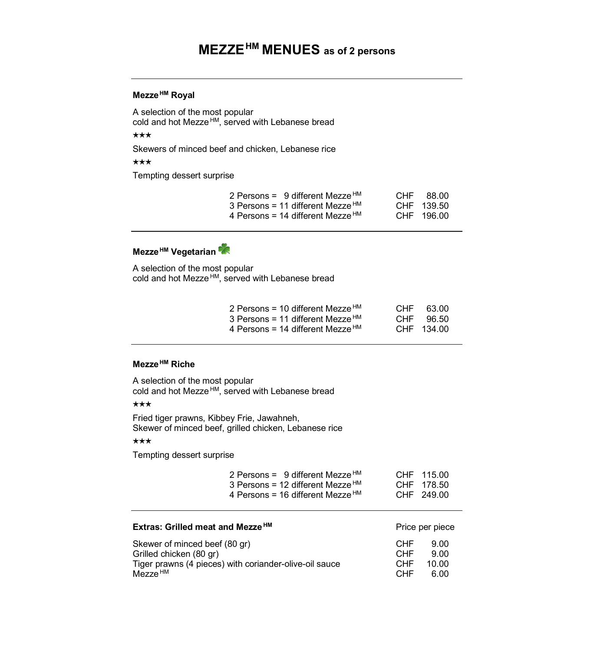### **MEZZEHM MENUES as of 2 persons**

### **Mezze HM Royal**

A selection of the most popular cold and hot Mezze HM, served with Lebanese bread

### $\star\star\star$

Skewers of minced beef and chicken, Lebanese rice

 $\star\star\star$ 

Tempting dessert surprise

| 2 Persons = 9 different Mezze $HM$           | CHF 88.00  |
|----------------------------------------------|------------|
| 3 Persons = 11 different Mezze $HM$          | CHF 139.50 |
| 4 Persons = 14 different Mezze <sup>HM</sup> | CHF 196.00 |

### **Mezze HM Vegetarian**

A selection of the most popular cold and hot Mezze<sup>HM</sup>, served with Lebanese bread

| 2 Persons = 10 different Mezze $HM$          | CHF 63.00  |
|----------------------------------------------|------------|
| 3 Persons = 11 different Mezze <sup>HM</sup> | CHF 96.50  |
| 4 Persons = 14 different Mezze <sup>HM</sup> | CHF 134.00 |

### **Mezze HM Riche**

A selection of the most popular cold and hot Mezze<sup>HM</sup>, served with Lebanese bread

#### $\star\star\star$

Fried tiger prawns, Kibbey Frie, Jawahneh, Skewer of minced beef, grilled chicken, Lebanese rice

#### $\star\star\star$

Tempting dessert surprise

| 2 Persons = 9 different Mezze $HM$  | CHF 115.00 |
|-------------------------------------|------------|
| 3 Persons = 12 different Mezze $HM$ | CHF 178.50 |
| 4 Persons = 16 different Mezze $HM$ | CHF 249.00 |

| Extras: Grilled meat and Mezze <sup>HM</sup>           | Price per piece |       |
|--------------------------------------------------------|-----------------|-------|
| Skewer of minced beef (80 gr)                          | <b>CHF</b>      | 9.00  |
| Grilled chicken (80 gr)                                | <b>CHF</b>      | 9.OO  |
| Tiger prawns (4 pieces) with coriander-olive-oil sauce | CHE             | 10.00 |
| Mezze <sup>HM</sup>                                    | CHE <sup></sup> | 6.00  |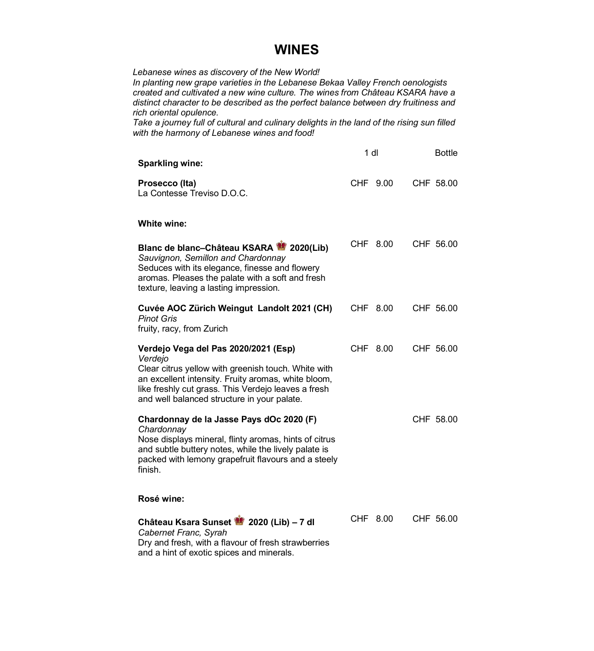### **WINES**

*Lebanese wines as discovery of the New World!* 

*In planting new grape varieties in the Lebanese Bekaa Valley French oenologists created and cultivated a new wine culture. The wines from Château KSARA have a distinct character to be described as the perfect balance between dry fruitiness and rich oriental opulence.* 

*Take a journey full of cultural and culinary delights in the land of the rising sun filled with the harmony of Lebanese wines and food!* 

| <b>Sparkling wine:</b>                                                                                                                                                                                                                                              | 1 <sub>d</sub> | <b>Bottle</b> |
|---------------------------------------------------------------------------------------------------------------------------------------------------------------------------------------------------------------------------------------------------------------------|----------------|---------------|
| Prosecco (Ita)<br>La Contesse Treviso D.O.C.                                                                                                                                                                                                                        | CHF 9.00       | CHF 58.00     |
| White wine:                                                                                                                                                                                                                                                         |                |               |
| Blanc de blanc-Château KSARA 2020(Lib)<br>Sauvignon, Semillon and Chardonnay<br>Seduces with its elegance, finesse and flowery<br>aromas. Pleases the palate with a soft and fresh<br>texture, leaving a lasting impression.                                        | CHF 8.00       | CHF 56.00     |
| Cuvée AOC Zürich Weingut Landolt 2021 (CH)<br><b>Pinot Gris</b><br>fruity, racy, from Zurich                                                                                                                                                                        | CHF 8.00       | CHF 56.00     |
| Verdejo Vega del Pas 2020/2021 (Esp)<br>Verdejo<br>Clear citrus yellow with greenish touch. White with<br>an excellent intensity. Fruity aromas, white bloom,<br>like freshly cut grass. This Verdejo leaves a fresh<br>and well balanced structure in your palate. | CHF 8.00       | CHF 56.00     |
| Chardonnay de la Jasse Pays dOc 2020 (F)<br>Chardonnay<br>Nose displays mineral, flinty aromas, hints of citrus<br>and subtle buttery notes, while the lively palate is<br>packed with lemony grapefruit flavours and a steely<br>finish.<br>Rosé wine:             |                | CHF 58.00     |
|                                                                                                                                                                                                                                                                     |                |               |
| Château Ksara Sunset 2020 (Lib) - 7 dl<br>Cabernet Franc, Syrah<br>Dry and fresh, with a flavour of fresh strawberries<br>and a hint of exotic spices and minerals.                                                                                                 | CHF 8.00       | CHF 56.00     |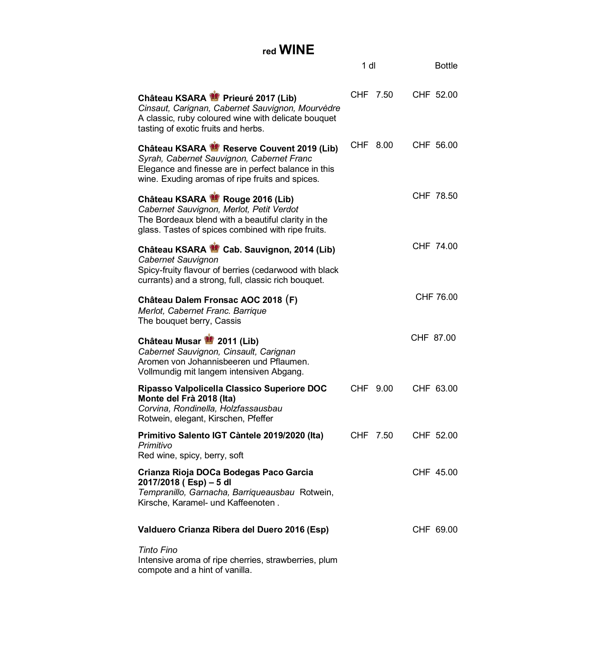### **red WINE**

|                                                                                                                                                                                                 | 1 dl |          | <b>Bottle</b> |
|-------------------------------------------------------------------------------------------------------------------------------------------------------------------------------------------------|------|----------|---------------|
| Château KSARA Prieuré 2017 (Lib)<br>Cinsaut, Carignan, Cabernet Sauvignon, Mourvèdre<br>A classic, ruby coloured wine with delicate bouquet<br>tasting of exotic fruits and herbs.              |      | CHF 7.50 | CHF 52.00     |
| Château KSARA Reserve Couvent 2019 (Lib)<br>Syrah, Cabernet Sauvignon, Cabernet Franc<br>Elegance and finesse are in perfect balance in this<br>wine. Exuding aromas of ripe fruits and spices. |      | CHF 8.00 | CHF 56.00     |
| Château KSARA Rouge 2016 (Lib)<br>Cabernet Sauvignon, Merlot, Petit Verdot<br>The Bordeaux blend with a beautiful clarity in the<br>glass. Tastes of spices combined with ripe fruits.          |      |          | CHF 78.50     |
| Château KSARA & Cab. Sauvignon, 2014 (Lib)<br>Cabernet Sauvignon<br>Spicy-fruity flavour of berries (cedarwood with black<br>currants) and a strong, full, classic rich bouquet.                |      |          | CHF 74.00     |
| Château Dalem Fronsac AOC 2018 (F)<br>Merlot, Cabernet Franc. Barrique<br>The bouquet berry, Cassis                                                                                             |      |          | CHF 76.00     |
| Château Musar 2011 (Lib)<br>Cabernet Sauvignon, Cinsault, Carignan<br>Aromen von Johannisbeeren und Pflaumen.<br>Vollmundig mit langem intensiven Abgang.                                       |      |          | CHF 87.00     |
| Ripasso Valpolicella Classico Superiore DOC<br>Monte del Frà 2018 (Ita)<br>Corvina, Rondinella, Holzfassausbau<br>Rotwein, elegant, Kirschen, Pfeffer                                           |      | CHF 9.00 | CHF 63.00     |
| Primitivo Salento IGT Càntele 2019/2020 (Ita)<br>Primitivo<br>Red wine, spicy, berry, soft                                                                                                      |      | CHF 7.50 | CHF 52.00     |
| Crianza Rioja DOCa Bodegas Paco Garcia<br>2017/2018 (Esp) - 5 dl<br>Tempranillo, Garnacha, Barriqueausbau Rotwein,<br>Kirsche, Karamel- und Kaffeenoten.                                        |      |          | CHF 45.00     |
| Valduero Crianza Ribera del Duero 2016 (Esp)                                                                                                                                                    |      |          | CHF 69.00     |
| <b>Tinto Fino</b><br>Intensive aroma of ripe cherries, strawberries, plum<br>compote and a hint of vanilla.                                                                                     |      |          |               |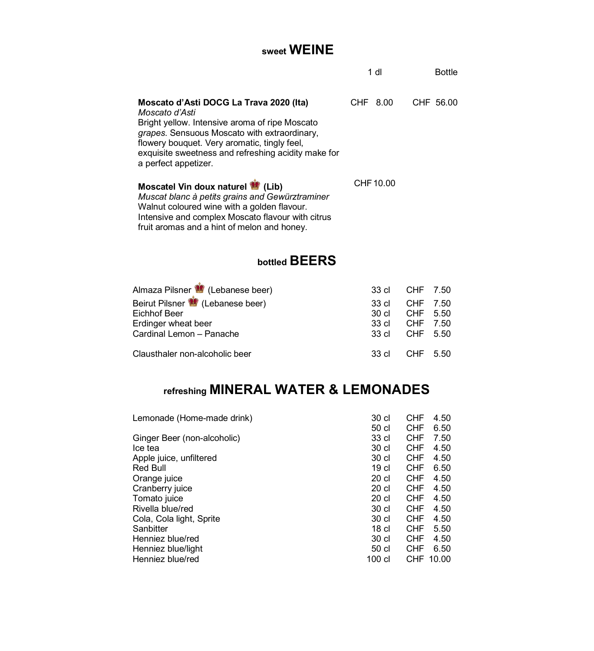### **sweet WEINE**

|                                                                                                                                                                                                                                                                                            | 1 dl      | <b>Bottle</b> |
|--------------------------------------------------------------------------------------------------------------------------------------------------------------------------------------------------------------------------------------------------------------------------------------------|-----------|---------------|
| Moscato d'Asti DOCG La Trava 2020 (Ita)<br>Moscato d'Asti<br>Bright yellow. Intensive aroma of ripe Moscato<br>grapes. Sensuous Moscato with extraordinary,<br>flowery bouquet. Very aromatic, tingly feel,<br>exquisite sweetness and refreshing acidity make for<br>a perfect appetizer. | CHF 8.00  | CHF 56.00     |
| Moscatel Vin doux naturel (Lib)<br>Muscat blanc à petits grains and Gewürztraminer<br>Walnut coloured wine with a golden flavour.                                                                                                                                                          | CHF 10.00 |               |

### **bottled BEERS**

Intensive and complex Moscato flavour with citrus fruit aromas and a hint of melon and honey.

| Almaza Pilsner (Lebanese beer) | 33 cl CHF 7.50 |          |  |
|--------------------------------|----------------|----------|--|
| Beirut Pilsner (Lebanese beer) | .33 cl         | CHF 7.50 |  |
| Eichhof Beer                   | 30 cl CHF 5.50 |          |  |
| Erdinger wheat beer            | 33 cl CHF 7.50 |          |  |
| Cardinal Lemon - Panache       | 33 cl CHF 5.50 |          |  |
| Clausthaler non-alcoholic beer | 33 cl CHF 5.50 |          |  |

# **refreshing MINERAL WATER & LEMONADES**

| Lemonade (Home-made drink)  | 30 cl            | <b>CHF</b> | 4.50  |
|-----------------------------|------------------|------------|-------|
|                             | 50 cl            | <b>CHF</b> | 6.50  |
| Ginger Beer (non-alcoholic) | 33 cl            | <b>CHF</b> | 7.50  |
| Ice tea                     | 30 cl            | <b>CHF</b> | 4.50  |
| Apple juice, unfiltered     | 30 <sub>cl</sub> | <b>CHF</b> | 4.50  |
| Red Bull                    | 19 cl            | <b>CHF</b> | 6.50  |
| Orange juice                | 20 <sub>cl</sub> | <b>CHF</b> | 4.50  |
| Cranberry juice             | 20 cl            | <b>CHF</b> | 4.50  |
| Tomato juice                | 20 <sub>cl</sub> | <b>CHF</b> | 4.50  |
| Rivella blue/red            | 30 cl            | <b>CHF</b> | 4.50  |
| Cola, Cola light, Sprite    | 30 cl            | <b>CHF</b> | 4.50  |
| Sanbitter                   | 18 cl            | <b>CHF</b> | 5.50  |
| Henniez blue/red            | 30 cl            | <b>CHF</b> | 4.50  |
| Henniez blue/light          | 50 cl            | <b>CHF</b> | 6.50  |
| Henniez blue/red            | $100$ cl         | <b>CHF</b> | 10.00 |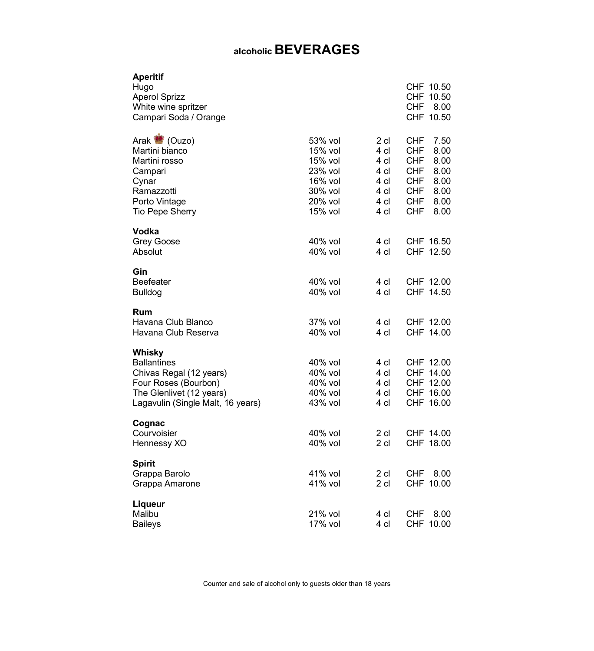## **alcoholic BEVERAGES**

| <b>Aperitif</b><br>Hugo<br><b>Aperol Sprizz</b><br>White wine spritzer<br>Campari Soda / Orange                                           |                                                                                      |                                                              | CHF 10.50<br>CHF 10.50<br>CHF<br>8.00<br>CHF 10.50                                                                                         |
|-------------------------------------------------------------------------------------------------------------------------------------------|--------------------------------------------------------------------------------------|--------------------------------------------------------------|--------------------------------------------------------------------------------------------------------------------------------------------|
| Arak (Ouzo)<br>Martini bianco<br>Martini rosso<br>Campari<br>Cynar<br>Ramazzotti<br>Porto Vintage<br><b>Tio Pepe Sherry</b>               | 53% vol<br>15% vol<br>15% vol<br>23% vol<br>16% vol<br>30% vol<br>20% vol<br>15% vol | 2 cl<br>4 cl<br>4 cl<br>4 cl<br>4 cl<br>4 cl<br>4 cl<br>4 cl | 7.50<br>CHF<br>CHF<br>8.00<br><b>CHF</b><br>8.00<br>CHF.<br>8.00<br>CHF<br>8.00<br><b>CHF</b><br>8.00<br><b>CHF</b><br>8.00<br>CHF<br>8.00 |
| Vodka<br><b>Grey Goose</b><br>Absolut                                                                                                     | 40% vol<br>40% vol                                                                   | 4 cl<br>4 cl                                                 | CHF 16.50<br>CHF 12.50                                                                                                                     |
| Gin<br>Beefeater<br><b>Bulldog</b>                                                                                                        | 40% vol<br>$40\%$ vol                                                                | 4 cl<br>4 cl                                                 | CHF 12.00<br>CHF 14.50                                                                                                                     |
| Rum<br>Havana Club Blanco<br>Havana Club Reserva                                                                                          | 37% vol<br>40% vol                                                                   | 4 cl<br>4 cl                                                 | CHF 12.00<br>CHF 14.00                                                                                                                     |
| Whisky<br>Ballantines<br>Chivas Regal (12 years)<br>Four Roses (Bourbon)<br>The Glenlivet (12 years)<br>Lagavulin (Single Malt, 16 years) | 40% vol<br>40% vol<br>40% vol<br>40% vol<br>43% vol                                  | 4 cl<br>4 cl<br>4 cl<br>4 cl<br>4 cl                         | CHF 12.00<br>CHF 14.00<br>CHF 12.00<br>CHF 16.00<br>CHF 16.00                                                                              |
| Cognac<br>Courvoisier<br>Hennessy XO                                                                                                      | 40% vol<br>40% vol                                                                   | 2 cl<br>$2$ cl                                               | CHF 14.00<br>CHF 18.00                                                                                                                     |
| <b>Spirit</b><br>Grappa Barolo<br>Grappa Amarone                                                                                          | 41% vol<br>41% vol                                                                   | 2 cl<br>$2$ cl                                               | CHF<br>8.00<br>CHF 10.00                                                                                                                   |
| Liqueur<br>Malibu<br><b>Baileys</b>                                                                                                       | 21% vol<br>17% vol                                                                   | 4 cl<br>4 cl                                                 | <b>CHF</b><br>8.00<br>CHF 10.00                                                                                                            |

Counter and sale of alcohol only to guests older than 18 years